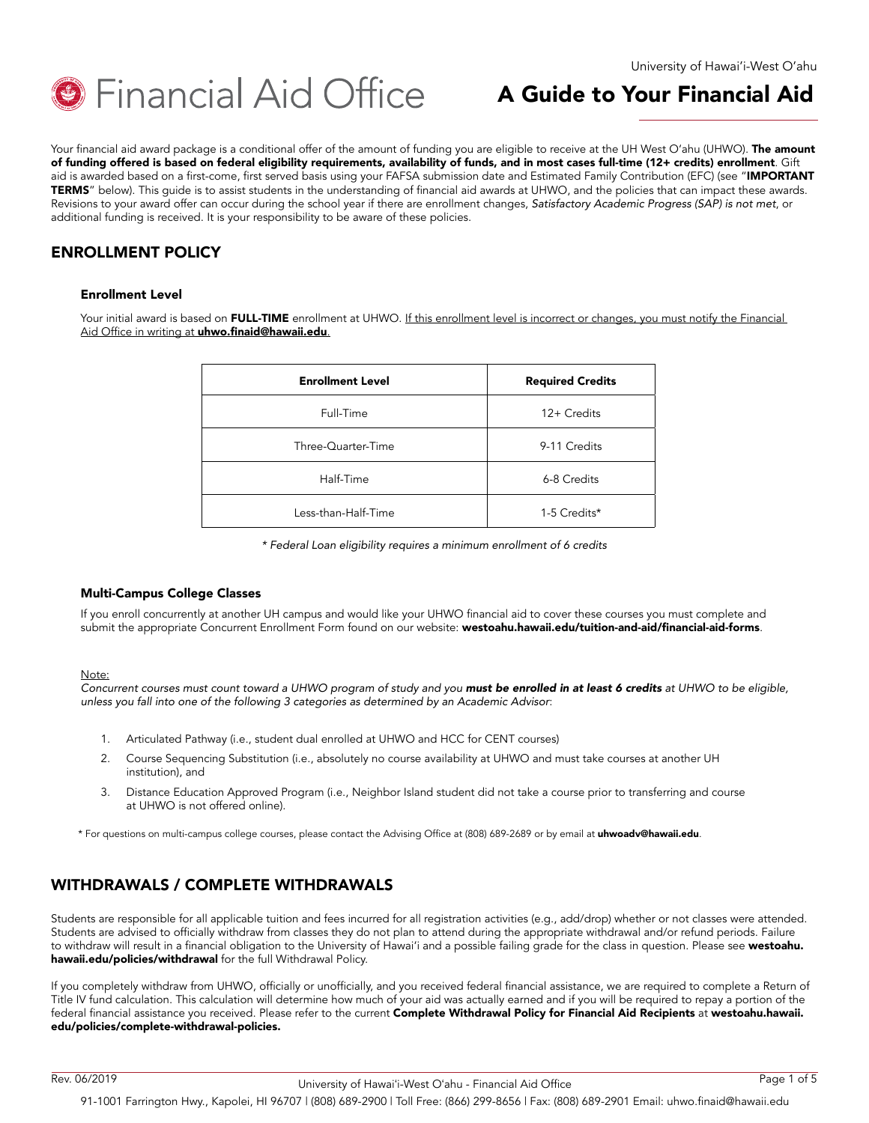

Your financial aid award package is a conditional offer of the amount of funding you are eligible to receive at the UH West O'ahu (UHWO). The amount of funding offered is based on federal eligibility requirements, availability of funds, and in most cases full-time (12+ credits) enrollment. Gift aid is awarded based on a first-come, first served basis using your FAFSA submission date and Estimated Family Contribution (EFC) (see "IMPORTANT TERMS" below). This guide is to assist students in the understanding of financial aid awards at UHWO, and the policies that can impact these awards. Revisions to your award offer can occur during the school year if there are enrollment changes, *Satisfactory Academic Progress (SAP) is not met*, or additional funding is received. It is your responsibility to be aware of these policies.

# ENROLLMENT POLICY

#### Enrollment Level

Your initial award is based on FULL-TIME enrollment at UHWO. If this enrollment level is incorrect or changes, you must notify the Financial Aid Office in writing at **[uhwo.finaid@hawaii.edu](mailto:uhwo.finaid@hawaii.edu)**.

| <b>Enrollment Level</b> | <b>Required Credits</b> |
|-------------------------|-------------------------|
| Full-Time               | 12+ Credits             |
| Three-Quarter-Time      | 9-11 Credits            |
| Half-Time               | 6-8 Credits             |
| Less-than-Half-Time     | 1-5 Credits*            |

*\* Federal Loan eligibility requires a minimum enrollment of 6 credits*

#### Multi-Campus College Classes

If you enroll concurrently at another UH campus and would like your UHWO financial aid to cover these courses you must complete and submit the appropriate Concurrent Enrollment Form found on our website: [westoahu.hawaii.edu/tuition-and-aid/financial-aid-forms](http://westoahu.hawaii.edu/tuition-and-aid/financial-aid-forms).

#### Note:

*Concurrent courses must count toward a UHWO program of study and you must be enrolled in at least 6 credits at UHWO to be eligible, unless you fall into one of the following 3 categories as determined by an Academic Advisor*:

- 1. Articulated Pathway (i.e., student dual enrolled at UHWO and HCC for CENT courses)
- 2. Course Sequencing Substitution (i.e., absolutely no course availability at UHWO and must take courses at another UH institution), and
- 3. Distance Education Approved Program (i.e., Neighbor Island student did not take a course prior to transferring and course at UHWO is not offered online).

\* For questions on multi-campus college courses, please contact the Advising Office at (808) 689-2689 or by email at [uhwoadv@hawaii.edu](mailto:uhwoadv@hawaii.edu).

## WITHDRAWALS / COMPLETE WITHDRAWALS

Students are responsible for all applicable tuition and fees incurred for all registration activities (e.g., add/drop) whether or not classes were attended. Students are advised to officially withdraw from classes they do not plan to attend during the appropriate withdrawal and/or refund periods. Failure to withdraw will result in a financial obligation to the University of Hawai'i and a possible failing grade for the class in question. Please see [westoahu.](http://westoahu.hawaii.edu/policies/withdrawal) [hawaii.edu/policies/withdrawal](http://westoahu.hawaii.edu/policies/withdrawal) for the full Withdrawal Policy.

If you completely withdraw from UHWO, officially or unofficially, and you received federal financial assistance, we are required to complete a Return of Title IV fund calculation. This calculation will determine how much of your aid was actually earned and if you will be required to repay a portion of the federal financial assistance you received. Please refer to the current Complete Withdrawal Policy for Financial Aid Recipients at [westoahu.hawaii.](http://westoahu.hawaii.edu/policies/complete-withdrawal-policies) [edu/policies/complete-withdrawal-policies.](http://westoahu.hawaii.edu/policies/complete-withdrawal-policies)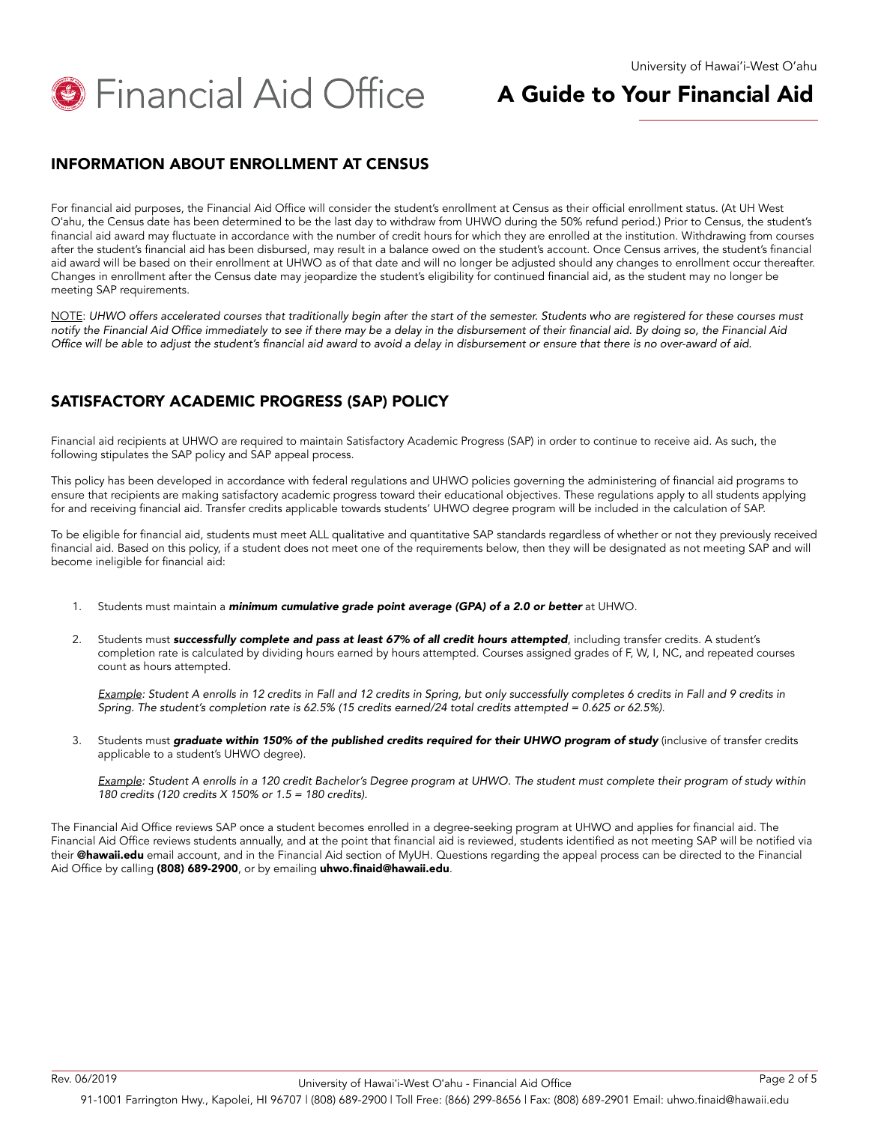

## INFORMATION ABOUT ENROLLMENT AT CENSUS

For financial aid purposes, the Financial Aid Office will consider the student's enrollment at Census as their official enrollment status. (At UH West Oʻahu, the Census date has been determined to be the last day to withdraw from UHWO during the 50% refund period.) Prior to Census, the student's financial aid award may fluctuate in accordance with the number of credit hours for which they are enrolled at the institution. Withdrawing from courses after the student's financial aid has been disbursed, may result in a balance owed on the student's account. Once Census arrives, the student's financial aid award will be based on their enrollment at UHWO as of that date and will no longer be adjusted should any changes to enrollment occur thereafter. Changes in enrollment after the Census date may jeopardize the student's eligibility for continued financial aid, as the student may no longer be meeting SAP requirements.

NOTE: *UHWO offers accelerated courses that traditionally begin after the start of the semester. Students who are registered for these courses must*  notify the Financial Aid Office immediately to see if there may be a delay in the disbursement of their financial aid. By doing so, the Financial Aid Office will be able to adjust the student's financial aid award to avoid a delay in disbursement or ensure that there is no over-award of aid.

# SATISFACTORY ACADEMIC PROGRESS (SAP) POLICY

Financial aid recipients at UHWO are required to maintain Satisfactory Academic Progress (SAP) in order to continue to receive aid. As such, the following stipulates the SAP policy and SAP appeal process.

This policy has been developed in accordance with federal regulations and UHWO policies governing the administering of financial aid programs to ensure that recipients are making satisfactory academic progress toward their educational objectives. These regulations apply to all students applying for and receiving financial aid. Transfer credits applicable towards students' UHWO degree program will be included in the calculation of SAP.

To be eligible for financial aid, students must meet ALL qualitative and quantitative SAP standards regardless of whether or not they previously received financial aid. Based on this policy, if a student does not meet one of the requirements below, then they will be designated as not meeting SAP and will become ineligible for financial aid:

- 1. Students must maintain a *minimum cumulative grade point average (GPA) of a 2.0 or better* at UHWO.
- 2. Students must *successfully complete and pass at least 67% of all credit hours attempted*, including transfer credits. A student's completion rate is calculated by dividing hours earned by hours attempted. Courses assigned grades of F, W, I, NC, and repeated courses count as hours attempted.

**Example:** Student A enrolls in 12 credits in Fall and 12 credits in Spring, but only successfully completes 6 credits in Fall and 9 credits in Spring. The student's completion rate is 62.5% (15 credits earned/24 total credits attempted = 0.625 or 62.5%).

3. Students must *graduate within 150% of the published credits required for their UHWO program of study* (inclusive of transfer credits applicable to a student's UHWO degree).

*Example*: Student A enrolls in a 120 credit Bachelor's Degree program at UHWO. The student must complete their program of study within 180 credits (120 credits X 150% or 1.5 = 180 credits).

The Financial Aid Office reviews SAP once a student becomes enrolled in a degree-seeking program at UHWO and applies for financial aid. The Financial Aid Office reviews students annually, and at the point that financial aid is reviewed, students identified as not meeting SAP will be notified via their @hawaii.edu email account, and in the Financial Aid section of MyUH. Questions regarding the appeal process can be directed to the Financial Aid Office by calling (808) 689-2900, or by emailing [uhwo.finaid@hawaii.edu](mailto:uhwo.finaid@hawaii.edu).

91-1001 Farrington Hwy., Kapolei, HI 96707 | (808) 689-2900 | Toll Free: (866) 299-8656 | Fax: (808) 689-2901 Email: uhwo.finaid@hawaii.edu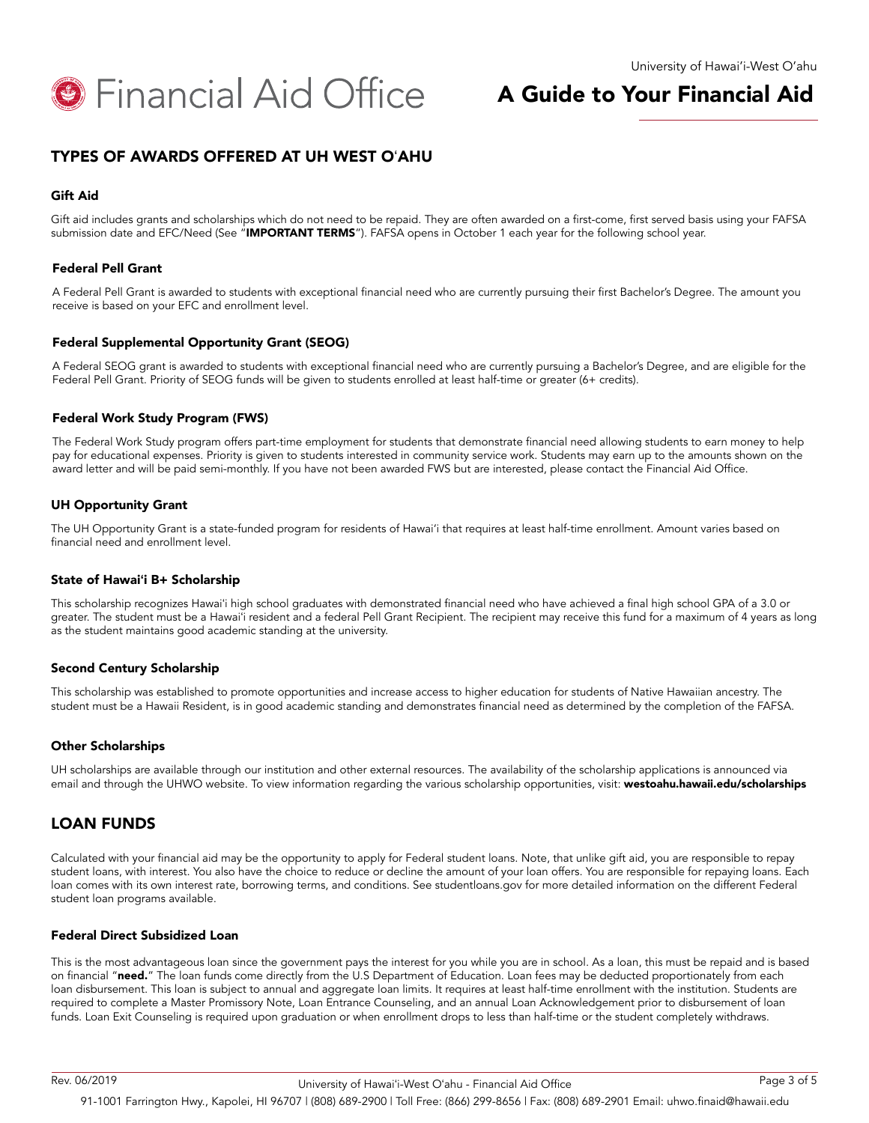

## TYPES OF AWARDS OFFERED AT UH WEST OʻAHU

#### Gift Aid

Gift aid includes grants and scholarships which do not need to be repaid. They are often awarded on a first-come, first served basis using your FAFSA submission date and EFC/Need (See "IMPORTANT TERMS"). FAFSA opens in October 1 each year for the following school year.

#### Federal Pell Grant

A Federal Pell Grant is awarded to students with exceptional financial need who are currently pursuing their first Bachelor's Degree. The amount you receive is based on your EFC and enrollment level.

#### Federal Supplemental Opportunity Grant (SEOG)

A Federal SEOG grant is awarded to students with exceptional financial need who are currently pursuing a Bachelor's Degree, and are eligible for the Federal Pell Grant. Priority of SEOG funds will be given to students enrolled at least half-time or greater (6+ credits).

#### Federal Work Study Program (FWS)

The Federal Work Study program offers part-time employment for students that demonstrate financial need allowing students to earn money to help pay for educational expenses. Priority is given to students interested in community service work. Students may earn up to the amounts shown on the award letter and will be paid semi-monthly. If you have not been awarded FWS but are interested, please contact the Financial Aid Office.

#### UH Opportunity Grant

The UH Opportunity Grant is a state-funded program for residents of Hawai'i that requires at least half-time enrollment. Amount varies based on financial need and enrollment level.

#### State of Hawai**ʻ**i B+ Scholarship

This scholarship recognizes Hawaiʻi high school graduates with demonstrated financial need who have achieved a final high school GPA of a 3.0 or greater. The student must be a Hawaiʻi resident and a federal Pell Grant Recipient. The recipient may receive this fund for a maximum of 4 years as long as the student maintains good academic standing at the university.

#### Second Century Scholarship

This scholarship was established to promote opportunities and increase access to higher education for students of Native Hawaiian ancestry. The student must be a Hawaii Resident, is in good academic standing and demonstrates financial need as determined by the completion of the FAFSA.

#### Other Scholarships

UH scholarships are available through our institution and other external resources. The availability of the scholarship applications is announced via email and through the UHWO website. To view information regarding the various scholarship opportunities, visit: [westoahu.hawaii.edu/scholarships](http://westoahu.hawaii.edu/scholarships)

### LOAN FUNDS

Calculated with your financial aid may be the opportunity to apply for Federal student loans. Note, that unlike gift aid, you are responsible to repay student loans, with interest. You also have the choice to reduce or decline the amount of your loan offers. You are responsible for repaying loans. Each loan comes with its own interest rate, borrowing terms, and conditions. See studentloans.gov for more detailed information on the different Federal student loan programs available.

#### Federal Direct Subsidized Loan

This is the most advantageous loan since the government pays the interest for you while you are in school. As a loan, this must be repaid and is based on financial "need." The loan funds come directly from the U.S Department of Education. Loan fees may be deducted proportionately from each loan disbursement. This loan is subject to annual and aggregate loan limits. It requires at least half-time enrollment with the institution. Students are required to complete a Master Promissory Note, Loan Entrance Counseling, and an annual Loan Acknowledgement prior to disbursement of loan funds. Loan Exit Counseling is required upon graduation or when enrollment drops to less than half-time or the student completely withdraws.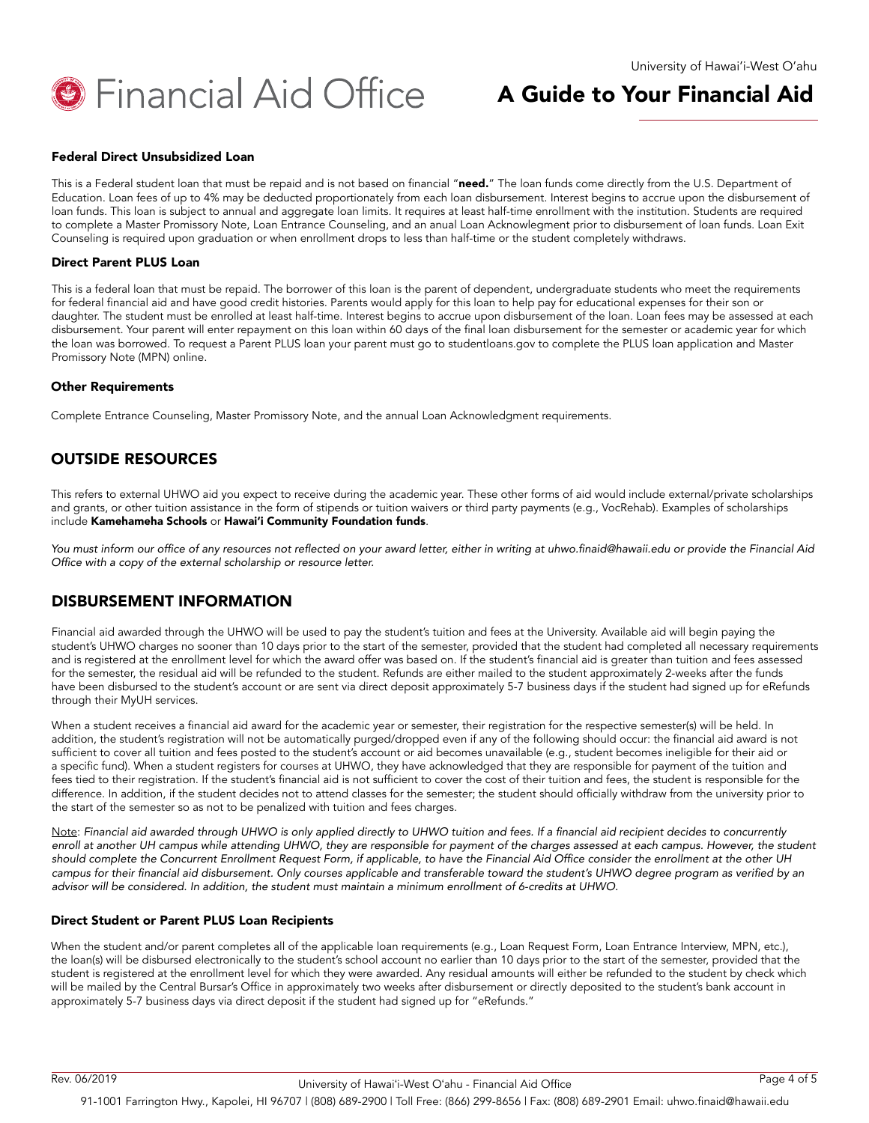

#### Federal Direct Unsubsidized Loan

This is a Federal student loan that must be repaid and is not based on financial "need." The loan funds come directly from the U.S. Department of Education. Loan fees of up to 4% may be deducted proportionately from each loan disbursement. Interest begins to accrue upon the disbursement of loan funds. This loan is subject to annual and aggregate loan limits. It requires at least half-time enrollment with the institution. Students are required to complete a Master Promissory Note, Loan Entrance Counseling, and an anual Loan Acknowlegment prior to disbursement of loan funds. Loan Exit Counseling is required upon graduation or when enrollment drops to less than half-time or the student completely withdraws.

#### Direct Parent PLUS Loan

This is a federal loan that must be repaid. The borrower of this loan is the parent of dependent, undergraduate students who meet the requirements for federal financial aid and have good credit histories. Parents would apply for this loan to help pay for educational expenses for their son or daughter. The student must be enrolled at least half-time. Interest begins to accrue upon disbursement of the loan. Loan fees may be assessed at each disbursement. Your parent will enter repayment on this loan within 60 days of the final loan disbursement for the semester or academic year for which the loan was borrowed. To request a Parent PLUS loan your parent must go to studentloans.gov to complete the PLUS loan application and Master Promissory Note (MPN) online.

#### Other Requirements

Complete Entrance Counseling, Master Promissory Note, and the annual Loan Acknowledgment requirements.

## OUTSIDE RESOURCES

This refers to external UHWO aid you expect to receive during the academic year. These other forms of aid would include external/private scholarships and grants, or other tuition assistance in the form of stipends or tuition waivers or third party payments (e.g., VocRehab). Examples of scholarships include [Kamehameha Schools](https://apps.ksbe.edu/financialaid) or [Hawai'i Community Foundation funds](http://scholarships.uhfoundation.org/scholarships/search.aspx).

You must inform our office of any resources not reflected on your award letter, either in writing at uhwo.finaid@hawaii.edu or provide the Financial Aid Office with a copy of the external scholarship or resource letter.

## DISBURSEMENT INFORMATION

Financial aid awarded through the UHWO will be used to pay the student's tuition and fees at the University. Available aid will begin paying the student's UHWO charges no sooner than 10 days prior to the start of the semester, provided that the student had completed all necessary requirements and is registered at the enrollment level for which the award offer was based on. If the student's financial aid is greater than tuition and fees assessed for the semester, the residual aid will be refunded to the student. Refunds are either mailed to the student approximately 2-weeks after the funds have been disbursed to the student's account or are sent via direct deposit approximately 5-7 business days if the student had signed up for eRefunds through their MyUH services.

When a student receives a financial aid award for the academic year or semester, their registration for the respective semester(s) will be held. In addition, the student's registration will not be automatically purged/dropped even if any of the following should occur: the financial aid award is not sufficient to cover all tuition and fees posted to the student's account or aid becomes unavailable (e.g., student becomes ineligible for their aid or a specific fund). When a student registers for courses at UHWO, they have acknowledged that they are responsible for payment of the tuition and fees tied to their registration. If the student's financial aid is not sufficient to cover the cost of their tuition and fees, the student is responsible for the difference. In addition, if the student decides not to attend classes for the semester; the student should officially withdraw from the university prior to the start of the semester so as not to be penalized with tuition and fees charges.

Note: Financial aid awarded through UHWO is only applied directly to UHWO tuition and fees. If a financial aid recipient decides to concurrently enroll at another UH campus while attending UHWO, they are responsible for payment of the charges assessed at each campus. However, the student should complete the Concurrent Enrollment Request Form, if applicable, to have the Financial Aid Office consider the enrollment at the other UH campus for their financial aid disbursement. Only courses applicable and transferable toward the student's UHWO degree program as verified by an advisor will be considered. In addition, the student must maintain a minimum enrollment of 6-credits at UHWO.

#### Direct Student or Parent PLUS Loan Recipients

When the student and/or parent completes all of the applicable loan requirements (e.g., Loan Request Form, Loan Entrance Interview, MPN, etc.), the loan(s) will be disbursed electronically to the student's school account no earlier than 10 days prior to the start of the semester, provided that the student is registered at the enrollment level for which they were awarded. Any residual amounts will either be refunded to the student by check which will be mailed by the Central Bursar's Office in approximately two weeks after disbursement or directly deposited to the student's bank account in approximately 5-7 business days via direct deposit if the student had signed up for "eRefunds."